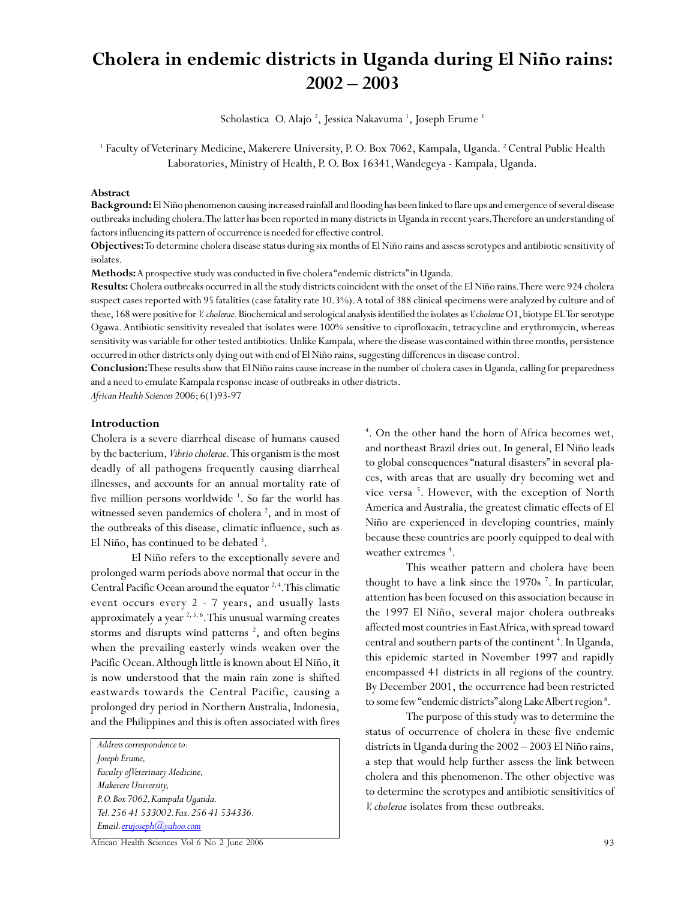# **Cholera in endemic districts in Uganda during El Niño rains: 2002 – 2003**

Scholastica O. Alajo <sup>2</sup>, Jessica Nakavuma <sup>1</sup>, Joseph Erume <sup>1</sup>

<sup>1</sup> Faculty of Veterinary Medicine, Makerere University, P. O. Box 7062, Kampala, Uganda. <sup>2</sup> Central Public Health Laboratories, Ministry of Health, P. O. Box 16341, Wandegeya - Kampala, Uganda.

#### **Abstract**

**Background:** El Niño phenomenon causing increased rainfall and flooding has been linked to flare ups and emergence of several disease outbreaks including cholera. The latter has been reported in many districts in Uganda in recent years. Therefore an understanding of factors influencing its pattern of occurrence is needed for effective control.

**Objectives:** To determine cholera disease status during six months of El Niño rains and assess serotypes and antibiotic sensitivity of isolates.

**Methods:** A prospective study was conducted in five cholera "endemic districts" in Uganda.

**Results:** Cholera outbreaks occurred in all the study districts coincident with the onset of the El Niño rains. There were 924 cholera suspect cases reported with 95 fatalities (case fatality rate 10.3%). A total of 388 clinical specimens were analyzed by culture and of these, 168 were positive for *V. cholerae.* Biochemical and serological analysis identified the isolates as *V. cholerae* O1, biotype EL Tor serotype Ogawa. Antibiotic sensitivity revealed that isolates were 100% sensitive to ciprofloxacin, tetracycline and erythromycin, whereas sensitivity was variable for other tested antibiotics. Unlike Kampala, where the disease was contained within three months, persistence occurred in other districts only dying out with end of El Niño rains, suggesting differences in disease control.

**Conclusion:** These results show that El Niño rains cause increase in the number of cholera cases in Uganda, calling for preparedness and a need to emulate Kampala response incase of outbreaks in other districts.

*African Health Sciences* 2006; 6(1)93-97

## **Introduction**

Cholera is a severe diarrheal disease of humans caused by the bacterium, *Vibrio cholerae.* This organism is the most deadly of all pathogens frequently causing diarrheal illnesses, and accounts for an annual mortality rate of five million persons worldwide<sup>1</sup>. So far the world has witnessed seven pandemics of cholera<sup>2</sup>, and in most of the outbreaks of this disease, climatic influence, such as El Niño, has continued to be debated <sup>3</sup>.

El Niño refers to the exceptionally severe and prolonged warm periods above normal that occur in the Central Pacific Ocean around the equator  $2, 4$ . This climatic event occurs every 2 - 7 years, and usually lasts approximately a year 2, 5, 6. This unusual warming creates storms and disrupts wind patterns<sup>2</sup>, and often begins when the prevailing easterly winds weaken over the Pacific Ocean. Although little is known about El Niño, it is now understood that the main rain zone is shifted eastwards towards the Central Pacific, causing a prolonged dry period in Northern Australia, Indonesia, and the Philippines and this is often associated with fires

*Address correspondence to: Joseph Erume, Faculty of Veterinary Medicine, Makerere University, P. O. Box 7062, Kampala Uganda. Tel. 256 41 533002. Fax. 256 41 534336. Email. erujoseph@yahoo.com*

4 . On the other hand the horn of Africa becomes wet, and northeast Brazil dries out. In general, El Niño leads to global consequences "natural disasters" in several places, with areas that are usually dry becoming wet and vice versa<sup>5</sup>. However, with the exception of North America and Australia, the greatest climatic effects of El Niño are experienced in developing countries, mainly because these countries are poorly equipped to deal with weather extremes<sup>4</sup>.

This weather pattern and cholera have been thought to have a link since the 1970s<sup>7</sup>. In particular, attention has been focused on this association because in the 1997 El Niño, several major cholera outbreaks affected most countries in East Africa, with spread toward central and southern parts of the continent<sup>4</sup>. In Uganda, this epidemic started in November 1997 and rapidly encompassed 41 districts in all regions of the country. By December 2001, the occurrence had been restricted to some few "endemic districts" along Lake Albert region<sup>8</sup>.

The purpose of this study was to determine the status of occurrence of cholera in these five endemic districts in Uganda during the 2002 – 2003 El Niño rains, a step that would help further assess the link between cholera and this phenomenon. The other objective was to determine the serotypes and antibiotic sensitivities of *V. cholerae* isolates from these outbreaks.

African Health Sciences Vol 6 No 2 June 2006 93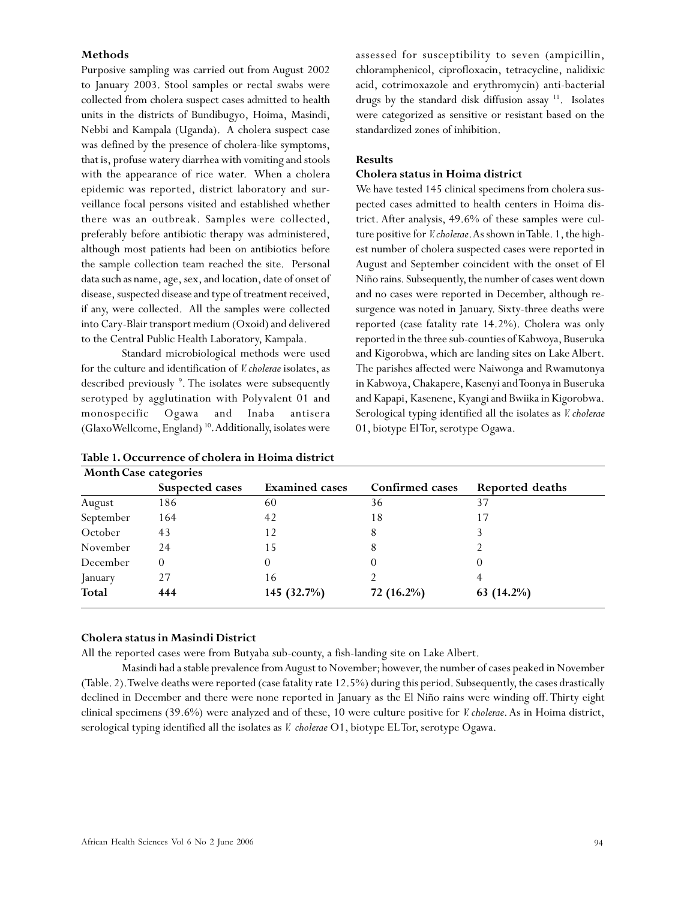## **Methods**

Purposive sampling was carried out from August 2002 to January 2003. Stool samples or rectal swabs were collected from cholera suspect cases admitted to health units in the districts of Bundibugyo, Hoima, Masindi, Nebbi and Kampala (Uganda). A cholera suspect case was defined by the presence of cholera-like symptoms, that is, profuse watery diarrhea with vomiting and stools with the appearance of rice water. When a cholera epidemic was reported, district laboratory and surveillance focal persons visited and established whether there was an outbreak. Samples were collected, preferably before antibiotic therapy was administered, although most patients had been on antibiotics before the sample collection team reached the site. Personal data such as name, age, sex, and location, date of onset of disease, suspected disease and type of treatment received, if any, were collected. All the samples were collected into Cary-Blair transport medium (Oxoid) and delivered to the Central Public Health Laboratory, Kampala.

Standard microbiological methods were used for the culture and identification of *V. cholerae* isolates, as described previously <sup>9</sup>. The isolates were subsequently serotyped by agglutination with Polyvalent 01 and monospecific Ogawa and Inaba antisera (GlaxoWellcome, England)<sup>10</sup>. Additionally, isolates were assessed for susceptibility to seven (ampicillin, chloramphenicol, ciprofloxacin, tetracycline, nalidixic acid, cotrimoxazole and erythromycin) anti-bacterial drugs by the standard disk diffusion assay <sup>11</sup>. Isolates were categorized as sensitive or resistant based on the standardized zones of inhibition.

## **Results**

#### **Cholera status in Hoima district**

We have tested 145 clinical specimens from cholera suspected cases admitted to health centers in Hoima district. After analysis, 49.6% of these samples were culture positive for *V. cholerae*. As shown in Table. 1, the highest number of cholera suspected cases were reported in August and September coincident with the onset of El Niño rains. Subsequently, the number of cases went down and no cases were reported in December, although resurgence was noted in January. Sixty-three deaths were reported (case fatality rate 14.2%). Cholera was only reported in the three sub-counties of Kabwoya, Buseruka and Kigorobwa, which are landing sites on Lake Albert. The parishes affected were Naiwonga and Rwamutonya in Kabwoya, Chakapere, Kasenyi and Toonya in Buseruka and Kapapi, Kasenene, Kyangi and Bwiika in Kigorobwa. Serological typing identified all the isolates as *V. cholerae* 01, biotype El Tor, serotype Ogawa.

| <b>Month Case categories</b> |                 |                       |                        |                 |
|------------------------------|-----------------|-----------------------|------------------------|-----------------|
|                              | Suspected cases | <b>Examined</b> cases | <b>Confirmed cases</b> | Reported deaths |
| August                       | 186             | 60                    | 36                     | 37              |
| September                    | 164             | 42                    | 18                     | 17              |
| October                      | 43              | 12                    | 8                      |                 |
| November                     | 24              | 15                    | 8                      |                 |
| December                     | $\Omega$        |                       | O                      |                 |
| January                      | 27              | 16                    |                        |                 |
| <b>Total</b>                 | 444             | 145 (32.7%)           | 72 (16.2%)             | 63 $(14.2\%)$   |

## **Table 1. Occurrence of cholera in Hoima district**

#### **Cholera status in Masindi District**

All the reported cases were from Butyaba sub-county, a fish-landing site on Lake Albert.

Masindi had a stable prevalence from August to November; however, the number of cases peaked in November (Table. 2). Twelve deaths were reported (case fatality rate 12.5%) during this period. Subsequently, the cases drastically declined in December and there were none reported in January as the El Niño rains were winding off. Thirty eight clinical specimens (39.6%) were analyzed and of these, 10 were culture positive for *V. cholerae*. As in Hoima district, serological typing identified all the isolates as *V. cholerae* O1, biotype EL Tor, serotype Ogawa.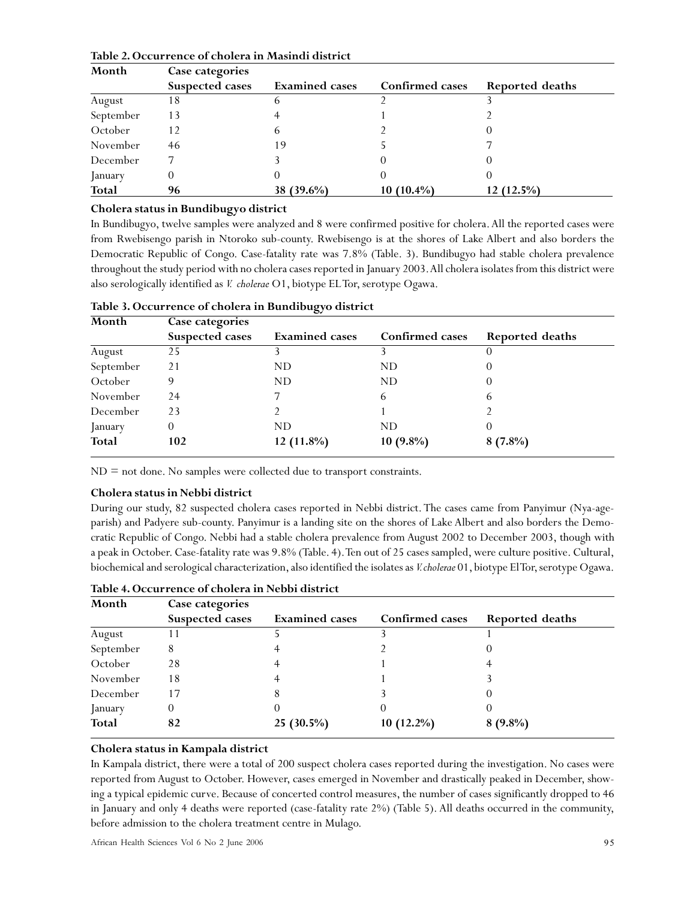| Month     | Case categories |                       |                 |                 |
|-----------|-----------------|-----------------------|-----------------|-----------------|
|           | Suspected cases | <b>Examined</b> cases | Confirmed cases | Reported deaths |
| August    | 18              | h                     |                 |                 |
| September | 13              |                       |                 |                 |
| October   | 12              | h                     |                 |                 |
| November  | 46              | 19                    |                 |                 |
| December  |                 |                       |                 |                 |
| January   |                 |                       |                 |                 |
| Total     | 96              | $(39.6\%)$<br>38.     | $10(10.4\%)$    | $12(12.5\%)$    |

## **Table 2. Occurrence of cholera in Masindi district**

## **Cholera status in Bundibugyo district**

In Bundibugyo, twelve samples were analyzed and 8 were confirmed positive for cholera. All the reported cases were from Rwebisengo parish in Ntoroko sub-county. Rwebisengo is at the shores of Lake Albert and also borders the Democratic Republic of Congo. Case-fatality rate was 7.8% (Table. 3). Bundibugyo had stable cholera prevalence throughout the study period with no cholera cases reported in January 2003. All cholera isolates from this district were also serologically identified as *V. cholerae* O1, biotype EL Tor, serotype Ogawa.

| Month        | Case categories |                       |                 |                 |
|--------------|-----------------|-----------------------|-----------------|-----------------|
|              | Suspected cases | <b>Examined</b> cases | Confirmed cases | Reported deaths |
| August       | 25              |                       |                 |                 |
| September    | 21              | ND                    | ND              |                 |
| October      |                 | ND.                   | ND              |                 |
| November     | 24              |                       | 6               | 6               |
| December     | 23              |                       |                 |                 |
| January      | 0               | ND                    | ND              |                 |
| <b>Total</b> | 102             | 12 (11.8%)            | $10(9.8\%)$     | $8(7.8\%)$      |

## **Table 3. Occurrence of cholera in Bundibugyo district**

 $ND = not$  done. No samples were collected due to transport constraints.

## **Cholera status in Nebbi district**

During our study, 82 suspected cholera cases reported in Nebbi district. The cases came from Panyimur (Nya-ageparish) and Padyere sub-county. Panyimur is a landing site on the shores of Lake Albert and also borders the Democratic Republic of Congo. Nebbi had a stable cholera prevalence from August 2002 to December 2003, though with a peak in October. Case-fatality rate was 9.8% (Table. 4). Ten out of 25 cases sampled, were culture positive. Cultural, biochemical and serological characterization, also identified the isolates as *V. cholerae* 01, biotype El Tor, serotype Ogawa.

| Month        | Case categories        |                       |                 |                 |
|--------------|------------------------|-----------------------|-----------------|-----------------|
|              | <b>Suspected cases</b> | <b>Examined</b> cases | Confirmed cases | Reported deaths |
| August       |                        |                       |                 |                 |
| September    | 8                      |                       |                 |                 |
| October      | 28                     |                       |                 |                 |
| November     | 18                     |                       |                 |                 |
| December     | 17                     |                       |                 |                 |
| January      | $_{0}$                 |                       |                 |                 |
| <b>Total</b> | 82                     | $25(30.5\%)$          | $10(12.2\%)$    | $8(9.8\%)$      |

**Table 4. Occurrence of cholera in Nebbi district**

## **Cholera status in Kampala district**

In Kampala district, there were a total of 200 suspect cholera cases reported during the investigation. No cases were reported from August to October. However, cases emerged in November and drastically peaked in December, showing a typical epidemic curve. Because of concerted control measures, the number of cases significantly dropped to 46 in January and only 4 deaths were reported (case-fatality rate 2%) (Table 5). All deaths occurred in the community, before admission to the cholera treatment centre in Mulago.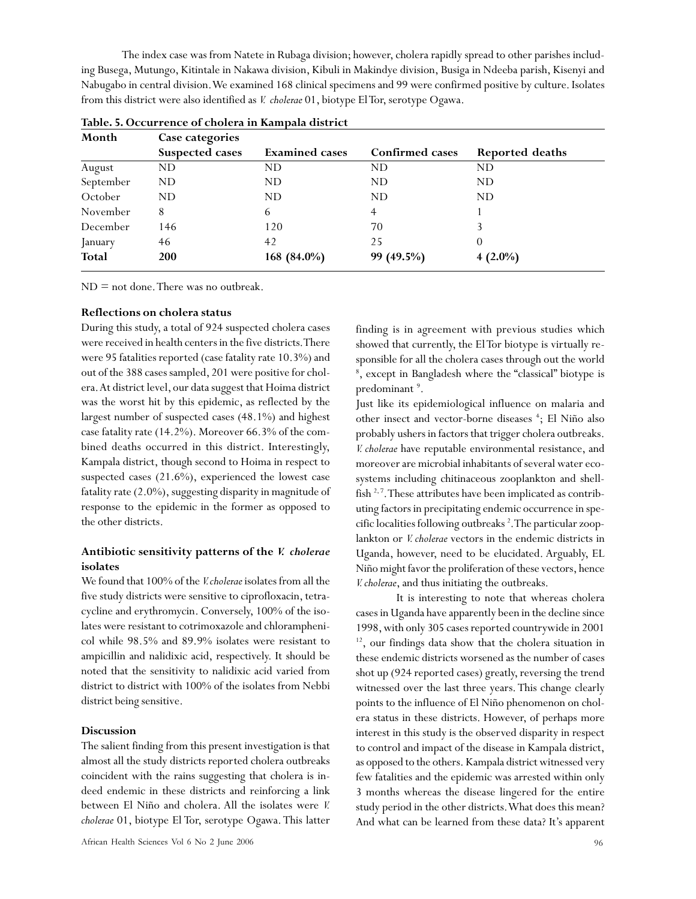The index case was from Natete in Rubaga division; however, cholera rapidly spread to other parishes including Busega, Mutungo, Kitintale in Nakawa division, Kibuli in Makindye division, Busiga in Ndeeba parish, Kisenyi and Nabugabo in central division. We examined 168 clinical specimens and 99 were confirmed positive by culture. Isolates from this district were also identified as *V. cholerae* 01, biotype El Tor, serotype Ogawa.

| Month        | Case categories |                       |                 |                 |
|--------------|-----------------|-----------------------|-----------------|-----------------|
|              | Suspected cases | <b>Examined</b> cases | Confirmed cases | Reported deaths |
| August       | ND.             | ND                    | ND              | ND.             |
| September    | <b>ND</b>       | ND                    | <b>ND</b>       | ND.             |
| October      | <b>ND</b>       | ND                    | ND              | ND.             |
| November     | 8               | 6                     | 4               |                 |
| December     | 146             | 120                   | 70              |                 |
| January      | 46              | 42                    | 25              | 0               |
| <b>Total</b> | <b>200</b>      | 168 (84.0%)           | 99 (49.5%)      | $4(2.0\%)$      |

| Table. 5. Occurrence of cholera in Kampala district |
|-----------------------------------------------------|
|-----------------------------------------------------|

 $ND = not$  done. There was no outbreak.

## **Reflections on cholera status**

During this study, a total of 924 suspected cholera cases were received in health centers in the five districts. There were 95 fatalities reported (case fatality rate 10.3%) and out of the 388 cases sampled, 201 were positive for cholera. At district level, our data suggest that Hoima district was the worst hit by this epidemic, as reflected by the largest number of suspected cases (48.1%) and highest case fatality rate (14.2%). Moreover 66.3% of the combined deaths occurred in this district. Interestingly, Kampala district, though second to Hoima in respect to suspected cases (21.6%), experienced the lowest case fatality rate (2.0%), suggesting disparity in magnitude of response to the epidemic in the former as opposed to the other districts.

# **Antibiotic sensitivity patterns of the** *V. cholerae* **isolates**

We found that 100% of the *V. cholerae* isolates from all the five study districts were sensitive to ciprofloxacin, tetracycline and erythromycin. Conversely, 100% of the isolates were resistant to cotrimoxazole and chloramphenicol while 98.5% and 89.9% isolates were resistant to ampicillin and nalidixic acid, respectively. It should be noted that the sensitivity to nalidixic acid varied from district to district with 100% of the isolates from Nebbi district being sensitive.

## **Discussion**

The salient finding from this present investigation is that almost all the study districts reported cholera outbreaks coincident with the rains suggesting that cholera is indeed endemic in these districts and reinforcing a link between El Niño and cholera. All the isolates were *V. cholerae* 01, biotype El Tor, serotype Ogawa. This latter finding is in agreement with previous studies which showed that currently, the El Tor biotype is virtually responsible for all the cholera cases through out the world 8 , except in Bangladesh where the "classical" biotype is predominant <sup>9</sup>.

Just like its epidemiological influence on malaria and other insect and vector-borne diseases <sup>4</sup>; El Niño also probably ushers in factors that trigger cholera outbreaks. *V. cholerae* have reputable environmental resistance, and moreover are microbial inhabitants of several water ecosystems including chitinaceous zooplankton and shellfish  $2^2$ . These attributes have been implicated as contributing factors in precipitating endemic occurrence in specific localities following outbreaks<sup>2</sup>. The particular zooplankton or *V. cholerae* vectors in the endemic districts in Uganda, however, need to be elucidated. Arguably, EL Niño might favor the proliferation of these vectors, hence *V. cholerae*, and thus initiating the outbreaks.

It is interesting to note that whereas cholera cases in Uganda have apparently been in the decline since 1998, with only 305 cases reported countrywide in 2001 <sup>12</sup>, our findings data show that the cholera situation in these endemic districts worsened as the number of cases shot up (924 reported cases) greatly, reversing the trend witnessed over the last three years. This change clearly points to the influence of El Niño phenomenon on cholera status in these districts. However, of perhaps more interest in this study is the observed disparity in respect to control and impact of the disease in Kampala district, as opposed to the others. Kampala district witnessed very few fatalities and the epidemic was arrested within only 3 months whereas the disease lingered for the entire study period in the other districts. What does this mean? And what can be learned from these data? It's apparent